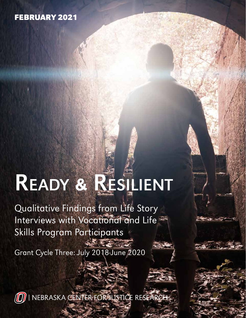### FEBRUARY 2021

# Ready & Resilient

Qualitative Findings from Life Story Interviews with Vocational and Life Skills Program Participants

**REGISTER** 

Grant Cycle Three: July 2018-June 2020



[NEBRASKA CENTER FOR JUSTICE RESEARCH](http://justiceresearch.unomaha.edu)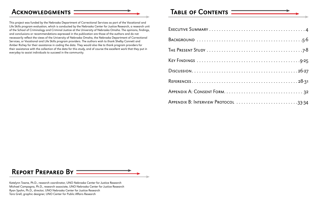| APPENDIX B: INTERVIEW PROTOCOL 33-34 |
|--------------------------------------|



Katelynn Towne, Ph.D., research coordinator, UNO Nebraska Center for Justice Research Michael Campagna, Ph.D., research associate, UNO Nebraska Center for Justice Research Ryan Spohn, Ph.D., director, UNO Nebraska Center for Justice Research Tara Grell, graphic designer, UNO Center for Public Affairs Research



## ACKNOWLEDGMENTS  $\square$

This project was funded by the Nebraska Department of Correctional Services as part of the Vocational and Life Skills program evaluation, which is conducted by the Nebraska Center for Justice Research, a research unit of the School of Criminology and Criminal Justice at the University of Nebraska Omaha. The opinions, findings, and conclusions or recommendations expressed in the publication are those of the authors and do not necessarily reflect the views of the University of Nebraska Omaha, the Nebraska Department of Correctional Services, or Vocational and Life Skills program providers. The authors wish to thank Shelby Connett and Amber Richey for their assistance in coding the data. They would also like to thank program providers for their assistance with the collection of the data for this study, and of course the excellent work that they put in everyday to assist individuals to succeed in the community.

## TABLE OF CONTENTS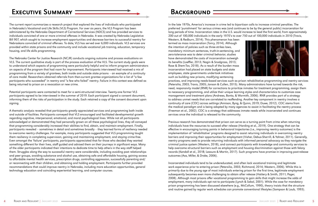## EXECUTIVE SUMMARY

The current report summarizes a research project that explored the lives of individuals who participated in Nebraska's Vocational and Life Skills (VLS) Program. For over six years, the VLS Program has been administered by the Nebraska Department of Correctional Services (NDCS) and has provided services to individuals convicted of one or more criminal offenses in Nebraska. It was created by Nebraska Legislative Bill 907, which sought to increase employment opportunities and decrease barriers to successful reentry for Nebraskans convicted of criminal offenses. To date, VLS has served over 6,000 individuals. VLS services are provided within state prisons and the community and include vocational job training, education, temporary housing, and life skills programming.

The Nebraska Center for Justice Research (NCJR) conducts ongoing outcome and process evaluations on VLS. The current qualitative study is part of the process evaluation of the VLS. The current study goals were to understand which aspects of programming were particularly helpful and to inform program administrators on aspects of the program that had room for improvement. Participants interviewed had received a mix of programming from a variety of grantees, both inside and outside state prisons – an example of a continuity of care model. Researchers obtained referrals from then-current grantee organizations for a list of "a few participants who succeeded" in reentry and "a few who failed" reentry. Failure in this context was defined as being returned to prison on a revocation or new crime.

Potential participants were contacted to meet for a semi-structured interview. Twenty-one former VLS participants agreed to be interviewed in the summer of 2019. Each participant signed a consent document, informing them of the risks of participation in the study. Each retained a copy of the consent document upon signing.

A thematic analysis revealed that participants greatly appreciated services and programming both inside and outside of facilities. Participants conveyed that VLS encouraged and facilitated developmental growth regarding cognitive, interpersonal, emotional, and moral psychological lines. While not all participants acknowledged or demonstrated they had personally grown on all these psychological lines, they all conveyed that programming considerably increased their abilities to find, obtain, and maintain employment. Finally, participants revealed – sometimes in detail and sometimes broadly – they learned forms of resiliency needed to overcome reentry challenges. For example, many participants suggested that VLS programming taught them resiliency in completing supervision, gaining and maintaining employment, and staying crime-free. Even amongst the 'failure' participants, participants appreciated that for those who decided they wanted something different for their lives, staff guided and advised them on their journeys in significant ways. Many of the older participants indicated their intentions to dedicate time to help others in the way staff helped them. Struggles along the way to successful reentry were considerable, including avoiding past relationships and peer groups, avoiding substance and alcohol use, obtaining safe and affordable housing, gaining access to affordable mental health services, prescription drugs, controlling aggression, successfully parenting and/ or reconnecting with their children, and obtaining and holding employment. Participants further provided recommendations that could improve reentry in Nebraska, including more education opportunities, general technology education and coinciding experiential learning, and computer courses.

## BACKGROUND

In the late 1970s, America's increase in crime led to bipartisan calls to increase criminal penalties. The preferred 'punishment' for serious crimes was (and continues to be by the general public) incarceration for long periods of time. Incarceration rates in the U.S. would increase to lead the first world, from approximately 200 out of 100,000 individuals in the early 1970's to over 750 out of 100,000 individuals in 2010 (Travis, Western, & Redburn, 2014). This phenomenon has been termed as mass incarceration (Tonry, 2014). Although the intention of policies such as three-strikes laws, mandatory minimum sentences, truth-in-sentencing, and zero-tolerance was to deter criminal behavior, studies have demonstrated the costs of incarceration outweigh its benefits (Loeffler, 2013; Nagin & Snodgrass, 2013; Rose & Shem-Tov, 2018). As a result of the burden mass incarceration had placed on state budgets and state employees, state governments undertook initiatives such as building new prisons, modifying sentencing practices, and improving needs-based services such as prison rehabilitative programming and reentry services (Petersilia, 2003; Travis, 2005; Jonson & Cullen, 2015). Many administrators have turned towards the risk, need, responsivity model (RNR) for corrections to prioritize inmates for treatment programming, assign them to necessary programming, and utilize their unique learning styles and characteristics to customize case management and treatment plans (Andrews, Bonta, & Wormith, 2006). RNR provides part of a strategy to address unmet needs that are correlated to reoffending. Another key component in reentry involves a continuity of care (COC) across settings (Annison, Byng, & Quinn, 2019; Duwe, 2012). COC stems from the medical paradigm and is being adopted by many agencies to assist in facilitating the reentry process (Freeman et al., 2002). COC is a strategy that addresses inmate needs while incarcerated and continues services once the individual is released to the community.

Previous research has demonstrated that prison can serve as a turning point from crime when returning individuals have the resources to succeed after release (Harding et al., 2019). One strategy that can be effective in encouraging turning points in behavioral trajectories (i.e., improving reentry outcomes) is the implementation of 'rehabilitative' programs designed to assist returning individuals in overcoming reentry barriers and improving their opportunities for employment (Visher, Debus-Sherrill, & Yahner, 2011). Generally, reentry programs seek to provide returning individuals with informed personal advocacy as they navigate the criminal justice system (Western, 2018), and connect participants with knowledge and community services to help overcome structural barriers such as employment and housing discrimination against those with felony records (Kendall et al., 2018; Leasure & Martin, 2017). Such programs have promise in improving post-release outcomes (Aos, Miller, & Drake, 2006).

Incarcerated individuals tend to be undereducated, and often lack vocational training and legitimate work experience prior to entering prison (Petersilia, 2003; Richmond, 2014; Western, 2006). While this is primarily due to the young age of most individuals entering prison for the first time, legitimate employment subsequently becomes even more challenging to obtain after release (Hattery & Smith, 2011; Pager, 2008). Although most prisons offer vocational programming to gain skills that might increase the odds of employment, many individuals opt not to participate (Lynch & Sabol, 2001). While the case for mandatory prison programming has been discussed elsewhere (e.g., McCollum, 1990), theory insists that the structure and routine gained by regular work schedules can promote conventional lifestyles (Sampson & Laub, 1993).



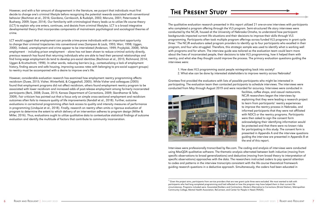However, and with a fair amount of disagreement in the literature, we purport that individuals must first decide to change one's criminal lifestyle before recognizing the potential rewards associated with conventional behavior (Bachman et al., 2016; Giordano, Cernkovich, & Rudolph, 2002; Maruna, 2001; Paternoster & Bushway, 2009; Soyer, 2014). Our familiarity with criminological theory leads us to utilize life course theory (LCT) to explain why one enters, continues, and desists from criminal lifestyles. LCT is a broad integrative developmental theory that incorporates components of mainstream psychological and sociological theories of crime.

LCT would suggest that employment can provide crime-prone individuals with an important opportunity to change their criminal trajectories into conventional ones (Sampson & Laub, 1993; Warr, 1998; Uggen, 2000). Indeed, unemployment and crime appear to be interrelated (Anderson, 1999; Przybylski, 2008). While employment – including prison employment – alone has not been shown to reduce criminal activity directly, previous research has found that returning individuals who are able to heal their personal relationships and find living-wage employment do tend to develop pro-social identities (Bachman et al., 2015; Richmond, 2014; Uggen & Kruttschnitt, 1998). In other words, reducing barriers (e.g., contextualizing a lack of employment history, finding secure and safe housing, improving success rates with belonging to pro-social support groups) to reentry must be accompanied with a desire to improve one's life.

However, considerable evaluation research has examined how employment reentry programming affects recidivism (Duwe, 2015; Visher, Winterfield, & Coggeshall, 2005). While Visher and colleagues (2005) found that employment programs did not affect recidivism, others found employment reentry program to be associated with lower recidivism and increased odds of post-release employment among formerly incarcerated participants (Berk, 2008; Duwe, 2015; Kansas Department of Corrections, 2009; Skardhamar & Telle, 2009). Fair criticism has pointed out that a focus only on simple cross-sectional employment and recidivism outcomes often fails to measure quality of life improvements (Kendall et al., 2018). Further, outcome evaluations in correctional programming often lack access to quality and intensity measures of performance in programming (Lindquist et al., 2018). Finally, research on reentry often omits a rigorous evaluation of program to determine the extent to which delivery of an intervention adheres to program design (Miller & Miller, 2016). Thus, evaluations ought to utilize qualitative data to contextualize statistical findings of outcome evaluation and identify the multitude of factors that contribute to community incarceration.

## THE PRESENT STUDY

The qualitative evaluation research presented in this report utilized 21 one-on-one interviews with participants who completed a program offering through the VLS program. Semi-structured life story interviews were conducted by the NCJR, housed at the University of Nebraska Omaha, to understand how participant backgrounds impacted current life situations and their decisions to improve their skills through VLS programming. Participants often took multiple program offerings across funded VLS programs in grant cycle three.1 The NCJR evaluators asked program providers to identify up to four participants who excelled in their program, and four who struggled. Therefore, this strategic sample was used to identify what is working well with programs and for whom. The interview guide was tailored so the evaluation team could learn more about the lives of incarcerated people, their decisions to take VLS programming, how it helped them with reentry, and what else they thought could improve the process. The primary evaluation questions guiding the interviews were:

1. How does VLS programming assist people reintegrating back into society? 2. What else can be done by interested stakeholders to improve reentry across Nebraska?

Grantees first provided the evaluators with lists of possible participants who might be interested in participating. The evaluation team then contacted participants to schedule interviews. The interviews were conducted from May through August 2019 and were recorded for accuracy. Interviews were conducted in



facilities, coffee shops, and casual restaurants. NCJR researchers began the interviews by explaining that they were leading a research project to learn from participants' reentry experiences to improve the reentry process in Nebraska, and informed participants that they were not affiliated with NDCS or the reentry programs. Participants were then asked to sign the consent form acknowledging their identifying information would be protected and that there were no known risks for participating in this study. The consent form is presented in Appendix A and the interview questions guiding the interview are presented in Appendix B at the end of this report.

Interviews were professionally transcribed by Rev.com. The coding and analysis of interviews were conducted using MaxQDA qualitative software. The thematic analysis alternated between both inductive (moving from specific observations to broad generalizations) and deductive (moving from broad theory to interpretation of specific observations) approaches with the data. The researchers instructed coders to pay special attention to codes and patterns in the interview transcripts consistent with the life course theoretical framework guiding research questions in a deductive approach. Simultaneously, the coders had been educated in

\_\_\_\_\_\_\_\_\_\_\_\_\_\_\_\_\_\_\_\_\_\_\_\_\_\_\_\_\_\_\_\_\_\_\_\_\_\_\_\_\_\_\_\_\_\_\_\_\_\_\_\_\_\_\_\_\_\_\_\_\_\_\_\_\_\_\_\_\_\_\_\_\_\_\_\_\_\_\_\_\_\_



 $^{\rm 1}$  Given the project aims, participants from service providers that are new grant cycle three were excluded. We most wanted to talk with participants who had long completed programming and had reflected on how the program may have helped them in their current life circumstances. Programs included were: Associated Builders and Contractors, Western Alternative to Corrections (Bristol Station), Metropolitan Community College, Mental Health Association, ReConnect, and Center for People in Need (TRADE).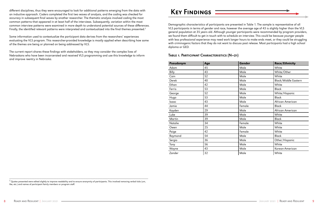different disciplines, thus they were encouraged to look for additional patterns emerging from the data with an inductive approach. Coders completed the first two waves of analysis, and the coding was checked for accuracy in subsequent final waves by another researcher. The thematic analysis involved coding the most common patterns that appeared in at least half of the interviews. Subsequently, variation within the most common interview patterns were examined in more depth to understand potential sources of these differences. Finally, the identified relevant patterns were interpreted and contextualized into the final themes presented.<sup>2</sup>



 $^2$  Quotes presented were edited slightly to improve readability and to ensure anonymity of participants. This involved removing verbal ticks (um, like, etc.) and names of participant family members or program staff.

Some information used to contextualize the participant data derives from the researchers' experiences evaluating the VLS program. This researcher-provided knowledge is mostly applied when describing how some of the themes are being or planned on being addressed by VLS.

The current report shares these findings with stakeholders, so they may consider the complex lives of Nebraskans who have been incarcerated and received VLS programming and use this knowledge to inform and improve reentry in Nebraska.

## KEY FINDINGS

\_\_\_\_\_\_\_\_\_\_\_\_\_\_\_\_\_\_\_\_\_\_\_\_\_\_\_\_\_\_\_\_\_\_\_\_\_\_\_\_\_\_\_\_\_\_\_\_\_\_\_\_\_\_\_\_\_\_\_\_\_\_\_\_\_\_\_\_\_\_\_\_\_\_\_\_\_\_\_\_\_\_

Demographic characteristics of participants are presented in Table 1. The sample is representative of all VLS participants in terms of gender and race, however the average age of 43 is slightly higher than the VLS general population at 35 years old. Although younger participants were recommended by program providers, we found them difficult to get in touch with to schedule an interview. This could be because younger people with less professional experience may need work longer hours to make ends meet, or they could be struggling with criminogenic factors that they do not want to discuss post release. Most participants had a high school diploma or GED.

#### Table 1. Participant Characteristics (N=21)

| Pseudonym    | Age | Gender | <b>Race/Ethnicity</b>       |
|--------------|-----|--------|-----------------------------|
| Adam         | 45  | Male   | White                       |
| <b>Billy</b> | 43  | Male   | White/Other                 |
| Cain         | 52  | Male   | White                       |
| Derek        | 40  | Male   | <b>Black/Middle Eastern</b> |
| Ethan        | 42  | Male   | White                       |
| Ferris       | 53  | Male   | <b>Black</b>                |
| George       | 52  | Male   | White/Hispanic              |
| Hugo         | 53  | Male   | <b>Black</b>                |
| Isaac        | 43  | Male   | African American            |
| Jamie        | 44  | Female | <b>Black</b>                |
| Kayden       | 29  | Male   | African American            |
| Luke         | 39  | Male   | White                       |
| Martin       | 39  | Male   | <b>Black</b>                |
| Natalie      | 34  | Female | White                       |
| Owen         | 25  | Male   | White                       |
| Paige        | 42  | Female | White                       |
| Raymond      | 54  | Male   | <b>Black</b>                |
| Sergio       | 36  | Male   | Other/Hispanic              |
| Tony         | 56  | Male   | White                       |
| Wayne        | 43  | Male   | Korean-American             |
| Zander       | 32  | Male   | White                       |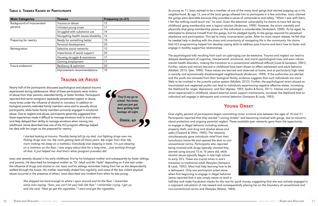#### Table 2. Themes Raised by Participants

| <b>Main Categories</b>     | <b>Themes</b>                       | <b>Frequency (n=21)</b> |
|----------------------------|-------------------------------------|-------------------------|
| Background of incarcerated | Trauma or abuse                     | 12                      |
| persons                    | Initiated young onset               | 17                      |
|                            | Struggled with substance use        | 14                      |
|                            | Navigating health issues/disability | 13                      |
| Preparing for reentry      | Ready for something better          | 19                      |
|                            | Personal development                | 20                      |
| Reintegration              | Selective social networks           | 12                      |
|                            | Importance of social support        | 20                      |
|                            | Housing struggle & assistance       | 17                      |
|                            | Gaining employment                  | 17                      |
| Future endeavors           | Resiliency & optimism               | 20                      |
|                            | Improvement recommendations         | 19                      |

### Trauma or Abuse

Nearly half of the participants discussed psychological and physical trauma experienced during adolescence. Most of these participants were victims of abuse from their parents, extended family, or foster families. Participants reported that some caregivers repeatedly perpetrated neglect or abuse, many times under the influence of alcohol or narcotics. In addition to biological parents, extended family members were said to sexually abuse participants, while foster family members primarily engaged in emotional abuse. Due to neglect and abuse, participants generally suggested that these experiences made it difficult to manage emotions and/or trust others, and likely delayed their ability to manage emotions when moving into adulthood. Jamie described how one of the VLS program offerings helped her deal with her anger as she prepared for reentry:

> *I started looking at trauma. Possibly being left by my dad. Just fighting drugs over me. Picking drugs over me. My mom getting beat all those years. My anger from that. My mom making me sleep on a mattress. Everybody else sleeping in beds. I'm just sleeping on a mattress on the floor. I was angry about that for a long time… Just working through all that. It just helped me. And that's what (program provider) did.*

Issac was severely abused in his early childhood, first by his biological mother and subsequently by foster siblings and parents. He described his biological mother as "Dr. Jekyll and Mr. Hyde" depending on if she was under the influence of drugs and alcohol or not. Issac and his siblings remember hiding from her as she despondently walked through the house. His mother reportedly choked him regularly, and some of the less violent physical abuse occurred in the presence of others. Issac described one incident from when he was young:

> *She slapped me hard enough to where I spun around and hit the floor. I remember some man saying, "Sara, you can't hit your kids like that." I remember crying. I got up and she said, "Now go get the cigarettes." I went and got the cigarettes.*



As young as 11, Issac wanted to be a member of one of the many local gangs that started popping up in his neighborhood. By age 13, one of the local gangs allowed him to participate in a few activities. Issac claimed the gangs were desirable because they provided a sense of camaraderie and safety. "When I was with them, I felt like nothing could touch me," he said. Given the extensive vulnerability he claims to have felt during childhood, gang membership was a logical solution (Anderson, 1999). However, the strain mentally and physically that gang membership places on the individual is considerable (Venkatesh, 2008). As he aged, he attempted to distance himself from the gangs, but his pledged loyalty to the gangs required his perpetual obedience and participation. This led to many incarceration cycles. After his most recent release, he felt that he needed help in dealing with the stress and uncertainty of navigating life in the community. He claims that VLS programming helped him develop coping skills to address past trauma and learn how to foster and engage in healthy supportive relationships.

The psychological tolls resulting from such an upbringing can be extensive. Trauma and neglect can lead to delayed development of cognitive, interpersonal, emotional, and moral psychological lines and even induce mental health disorders, making the transition to a conventional adulthood difficult (Laub & Sampson, 2001). Further, values and morals learned in childhood have been shown to affect adolescent and adult behavior (Mallett, 2013; Tyler, 1990). These values are learned and observed at home, and at particularly high rates in socially and economically disadvantaged neighborhoods (Anderson, 1999). If the authorities are alerted and the youth are removed from their biological family, evidence suggests that such individuals are more likely to be involved in the juvenile justice system (Mallett, 2013). Further, the psychological strain placed on traumatized and neglected youths can lead to individuals experiencing negative affective states, increasing the likelihood for anger, depression, and fear (Agnew, 1992; Spohn & Kurtz, 2011). Intense and prolonged strain experienced in childhood, absent external social support mechanisms, increases the likelihood that an individual will engage in delinquent and criminal behavior (Sampson & Laub, 1993).

#### Young Onset



Over eighty percent of participants began committing minor criminal acts between the ages of 10 and 21. Participants reported that they started "running streets" and becoming involved with gangs, due to concerns about protection and ongoing parental neglect. These available peer networks gave them the opportunity to engage in illegal behavior including violence, property theft, and drug and alcohol abuse and sales (Cloward & Ohlin, 1960). The networks simultaneously gave individuals relief from their tumultuous home life and opened the door to nonconventional norms. Participants who reported being involved with drugs typically claimed they started using around 13 to 16 years old, while alcohol abuse typically began in late high school to early 20's. These are crucial times in one's transition to traditional adult lifestyles (Sampson & Laub, 1993). Most had help learning how to be a delinquent. Only one participant acted alone when first beginning to engage in illegal behavior. Jamie reported that it was simply easier to work a half-day and make fraudulent checks for the rest for quick money, suggesting that she was actively engaged in a cognizant calculation of risk/reward and consequentially placing her on the boundary of conventional and non-conventional norms and lifestyles (Matza, 1964).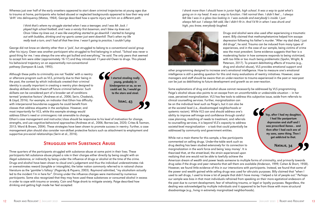Whereas just over half of the early onsetters appeared to start down criminal trajectories at young ages due to trauma at home, participants who lacked abused or neglected backgrounds appeared to lose their way and 'drift' into delinquency (Matza, 1964). George described how a sports injury set him on a different path:

> *I think that's where my struggle started when I was a teenager, and I was Mr. Jock. I played high school football, and I was a varsity first baseman, and I blew my knee out. Once I blew my knee out, it was like everything started to go downhill. I started to hanging out with buddies, drinking and my sports career just went downhill. That's when my life really took a turn, and I had all that free time. I wasn't going to practice, I couldn't play.*

George did not know an identity other than a 'jock', but struggled to belong to a conventional social group after his injury. Owen was another participant who struggled to find belonging in school. "School was never a good thing for me. I was always the one who got bullied and everything," he said. The only peers that seemed to accept him were older (approximately 16-17) and they introduced 11-year-old Owen to drugs. This placed his behavioral trajectory on an exponentially non-conventional pathway (Sampson & Laub, 1993).

Although these paths to criminality are not 'fixable' with a reentry or aftercare program such as VLS, primarily due to their being in the past, the context by which individuals created their criminal identity is usually important in creating a reentry plan designed to develop skillsets able to thwart-off future criminal behavior. Such skillsets can be considered part of a broader set of conditions termed 'protective factors' (Andrews et al., 2006; Serin, Chadwick, & Lloyd, 2016). For example, an indicator that Ethan has difficulty with interpersonal boundaries suggests he could benefit from classes that address etiquette in the workplace. However, and most importantly for VLS, while this example strategy would address Ethan's need or criminogenic risk amenable to change,

started stealing really young, probably in kindergarten or so, so we could eat. So, I would go to the store and steal. Issac, 43

Ethan's case management and instructor/class should be responsive to his level of motivation for change, strengths, and use cognitive-behavioral approaches (Andrews et al., 2006; Barnes-Lee, 2020; Crites & Taxman, 2013; Ward & Brown, 2004). These strategies have been shown to promote success in reentry. Further, a case management plan should also consider non-skillset protective factors such as attachment to employment and supportive pro-social relationships (Serin et al., 2016).

#### Struggled with Substance Abuse

While not a main theme for this sample, a few participants commented on selling drugs. Under-the-table work such as drug dealing has been studied extensively for its connection to marginalization in the work force and being 'easy money'. It is theorized that, at the street-level, the strain experienced upon realizing that one would not be able to lawfully achieve the American dream of wealth and power leads someone to multiple forms of criminality, and primarily towards drug sales if the drugs and peer networks that sell them are available (Anderson, 1999; Cohen & Short, 1958). However, we found little evidence of this in our interactions with participants. Instead, we found that some of the power and wealth gained while selling drugs was used for altruistic purposes. Billy claimed that "when I used to sell drugs, I used to know a lot of people that didn't have money. I helped a lot of people out." Perhaps our sample was bias in that most individuals refrained from speaking on their more egotistical endeavors of the past due to current development, fear of rehashing trauma, or legal or loyalty purposes. Regardless, the dealing was acknowledged by multiple individuals and it appeared to be from those with more structural disadvantage (e.g., living in extremely marginalized neighborhoods). NATALIE, 34

Three quarters of the participants struggled with substance abuse at some point in their lives. These participants felt substance abuse played a role in their charges either directly by being caught with an illegal substance, or indirectly by being under the influence of drugs or alcohol at the time of the crime. Drugs and alcohol have been shown to cloud one's judgement and thus the individual underestimates risk or overestimates reward (tangible or intangible); the latter notion commonly referred to in rational choice literature as the 'gambler's fallacy' (Pogarsky & Piquero, 2003). Raymond admitted, "my alcoholism actually led to the incident I'm in here for". Driving under the influence charges were mentioned by numerous participants. Some also recognized that they may have used these substances or consumed alcohol in excess in order to cope with trauma or anxiety. Cain and Paige drank to mitigate anxiety. Paige described how drinking and getting high made her feel accepted:

*I drank more than I should have in junior high, high school. It was a way to quiet what's going on in my head. It was a way to function. I felt normal then. I didn't feel ... I always felt like I was in a glass box looking in. I was outside and everybody's inside. I just always felt out. I always felt odd, like I didn't fit in. And I'd fit in when I was drunk and high, you know, everybody laughed.*



Drugs and alcohol were also used after experiencing a traumatic event. Billy claimed that methamphetamine helped him escape depression following his father's murder. "After my dad died, I just did drugs", he said. Trauma can be induced from many types of experiences, and in the case of our sample, being victims of crime was the most prevalent. Some evidence suggests that fear is a moderating factor in how someone responds to being victimized, with too little or too much being problematic (Spohn, Wright, & Peterson, 2017). To prevent debilitating effects of trauma (e.g., drug and alcohol abuse), VLS provides emotional support and other programming designed to increase one's emotional intelligence. How to measure one's emotional intelligence is still a pending question for this and many evaluations of reentry initiatives. However, case managers and staff should be aware that an under-reaction to trauma experienced in the past or near-past can be just as debilitating to future development and growth as an over-reaction.

Some explanations of drug and alcohol abuse cannot necessarily be addressed by VLS programming. Paige's alcohol abuse also points to an escape from an uncomfortable or undesirable situation — in her case, perceived marginalization. VLS has few tools to address this subjective issue, aside from referrals to clinical counselling services. Further, marginalization can be on the individual level such as Paige's, but it can also be at the societal level (i.e., disadvantaged neighborhoods or systemic racism). While VLS can and should address one's ability to improve self-image and confidence through careful case planning, matching of needs to treatment, and referrals to counselling services, it is beyond VLS's capacity to address societal-level marginalization – a task that could potentially be addressed by community and government entities. Yep, after I had my daughter, I had like postpartum depression and stuff and I was prescribed Xanax… and then after I had each one of my sons, same thing. Then I got addicted to that.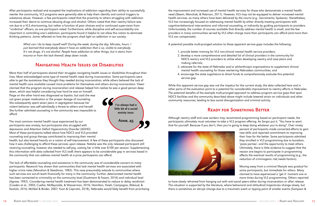After participants realized and accepted the implications of addiction regarding their ability to successfully reenter the community, VLS programs were generally able to help them identify and control triggers to substance abuse. However, a few participants noted that the proximity to others struggling with addiction increased their desire to continue abusing drugs and alcohol. Others noted that their reentry failure was not due to a VLS shortcoming, but rather a function of poor choices and/or continued supervision from "vindictive" officers, as one participant noted. Furthermore, while discipline and self-accountability are important in controlling one's addiction, participants found it helpful to not allow this notion to dominate thinking patterns. Jamie reflected on how the program shed light on addiction in our society:

> *What can I do to keep myself well? During the week, during the day. Minutes, hours. I just learned that everybody doesn't have an addiction that is so, visible to everybody. It's not drugs, it's not alcohol. People have addiction to other things, but it stems from trauma or from the lack thereof, deep down inside.*

### Navigating Health Issues or Disabilities

More than half of participants shared their struggles navigating health issues or disabilities throughout their lives. Most acknowledged some type of mental health need during incarceration. Some participants were able to get the assistance they thought they needed during incarceration, while others believed the lack of mental health care available caused more problems for themselves and others during incarceration. Owen claimed that the program during incarceration and release helped him realize he was a good person deep

down, which was helpful considering how hard he was on himself. Paige on the other hand was diagnosed as bipolar, but said she was not given proper medication or the proper dosage of counseling. She subsequently spent seven years in segregation because her violent behavior was self-admittedly a threat to others and herself. She further admitted counseling in the community was impossible to afford.

The most common mental health issue experienced by our participants was anxiety, but participants also struggled with depression and Attention Deficit Hyperactivity Disorder (ADHD). Most of these participants talked about how NDCS and VLS-provided counseling and group therapy contributed to improving their mental

health, but also leaned heavily on a notion of self-improvement. A few of these participants also discussed how it was challenging to afford these services upon release. Natalie was the only released participant still receiving counseling, however she needed to self-pay, costing her a little over \$100 per session. Supplementing this information with data collected from VLS staff, there appears to be considerable gap in services based in the community that can address mental health at a price participants can afford.

The lack of affordable counseling and assistance in the community was of considerable concern to many participants. Research has shown that communities that lack mental health services are associated with higher crime rates (Monahan & Steadman, 1983). This case presumably extends to communities where such services are out-of-reach financially for many in the community. Further, deteriorated mental health has been connected to criminality on the community level (Dustmann & Fasani, 2016) and individual level (Agnew, 1992). Considering mental health treatment has been demonstrated to reduce or delay recidivism (Cosden et al., 2003; Cuellar, McReynolds, & Wasserman, 2016; Hamilton, Hsieh, Campagna, Abboud, & Koslicki, 2016; McNiel & Binder, 2007; Yuan & Capriotti, 2018), Nebraska would likely benefit from prioritizing



the improvement and increased use of mental health services for those who demonstrate a mental health need (Skeem, Manchak, & Peterson, 2011). However, VLS may not be equipped to deliver increased mental health services, as many others have been delivered by the courts (e.g., Sacramento, Spokane). Nonetheless, VLS has increasingly focused on addressing mental health by either directly treating participants with cognitive-behavioral interventions and informal counseling, or indirectly by guiding participants to providers. Unfortunately, the number of courses available that directly address mental health is small, and the few providers in many communities served by VLS often charge more than participants can afford (and more than VLS can compensate).

A potential possible multi-pronged solution to these apparent service gaps includes the following:

2. develop a more comprehensive and detailed list of clinical providers in the community for NDCS reentry and VLS providers to utilize when developing reentry and case plans and

- 1. provide better training for VLS non-clinical mental health service providers;
- making referrals;
- 3. advocate for the state of Nebraska and/or philanthropic organizations to supplement clinical mental health counseling for those reentering Nebraskan communities; and
- 4. encourage the state Legislature to direct funds to comprehensively evaluate this potential service gap.

While this apparent service gap was not the impetus for the current study, the data collected here and in other parts of the evaluation point to a potential for considerable improvement to reentry efforts in Nebraska. The potential benefits of the example multi-pronged approach to address program service gaps that span NDCS facilities and the community described above might include lowered strain on individuals and other community resources, leading to less social disorganization and criminal activity.

### Ready for Something Better

Although reentry staff and case workers may recommend programming based on participant needs, the participants ultimately must volunteer to take a VLS program offering. As Sergio put it, "You have to want that for yourself. Because if you don't, then you're going to keep doing whatever you're doing". Over ninety



percent of participants made concerted efforts to gain new skills and reported commitment to improving their lives for the better. Some participants admitted they enrolled in VLS programming due to boredom, 'pizza parties', and the opportunity to meet others. Ultimately, there is little evidence to suggest that the reason one begins to participate in programming affects the eventual results of programming (e.g., the reduction of criminogenic risk/needs factors).

Moving away from a criminal lifestyle was gradual for some participants, but immediate for others. Many claimed to have experienced a 'get it' moment one or more times during VLS programming. Others reported

to have slowly refrained from hanging out with anti-social peers either during incarceration or after release. This situation is supported by the literature, where behavioral and attitudinal trajectories change slowly, but there is sometimes an abrupt change due to a traumatic event or tipping point of smaller events (Sampson &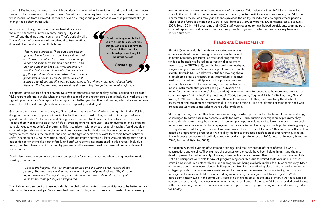Laub, 1993). Indeed, the process by which one desists from criminal behavior and anti-social attitudes is very similar to the process of criminogenic onset. Sometimes change requires a specific or general event, and other times inspiration from a revered individual or even a stranger can push someone over the proverbial cliff (to change their behavior/attitudes).

In response to being asked if anyone motivated or inspired them to be successful in their reentry journey, Billy said, "Myself and the things that I could have. That's basically all… This ain't for me". Jamie was also motivated to try something different after recidivating multiple times:

> *I know I got a problem. There's no sane person goes back and forth to prison, five, six times and don't have a problem. So, I started researching things and somebody else had done WRAP and they gave me their book. So, I was reading it. I was like, I think I need to do this. They were like, go, they got donuts! I was like, okay. Donuts. Don't get donuts in prison. I was like, yeah. So, I went. I*

*learned a lot about myself. I learned what it looks like when I'm not well. What it looks like when I'm healthy. What are my signs that say, okay, I'm getting unhealthy right now.* 

It appears Jamie realized her recidivism cycle was unproductive and unhealthy before learning of a relevant VLS program offering, but she when she was able to read over another participant's individual workbook, she signed up immediately. She reported wanting to be a better grandmother and mother, which she claimed was able to be addressed through multiple sources of support provided by VLS.

Start building your life that you're afraid to lose. Get nice things. Get a nice apartment. Soon, I'll find that nice relationship, something I'll be afraid to lose. GEORGE, 52

George had a similar experience saying, "I started looking at the fact of, where am I getting in this life? My daughter made it clear. If you continue to live the lifestyle you used to live, you will not be a part of your granddaughter's life." Billy, Jamie, and George made decisions to change for themselves, because they realized there was more to enjoy out of life by avoiding criminal behavior – and an avenue to avoid criminal behavior was to engage in VLS programs. This is consistent with previous research that has found people on criminal trajectories must first make connections between the hardships and harms experienced with how they view themselves in the present, and envision the type of person they want to become before behavior shifts (Bachman et al., 2016; Maruna, 2001). Although improving their skillsets was something participants had to decide for themselves, other family and staff were sometimes mentioned in this process. Individual family members, friends, NDCS or reentry program staff were mentioned as influential amongst different participants.

Derek also shared a lesson about love and compassion for others he learned when saying goodbye to his passing grandmother:

> *I went to the hospital, she was on her death bed and she wasn't even worried about passing. She was more worried about me, and it just really touched me…Like, I'm about to pass away, don't worry. I'm at peace. She was more worried about me, so it just touched me. It really like, just changed me.*

The kindness and support of these individuals humbled and motivated many participants to be better in their role within their relationships. Many described how their siblings and parents who assisted them in reentry

went on to want to become improved versions of themselves. This notion is evident in VLS mentors alike. Overall, the imagination of a better self was certainly a goal for participants who succeeded, and VLS, the incarceration process, and family and friends provided the ability for individuals to explore those possible selves for the future (Bachman et al., 2016; Giordano et al., 2002; Maruna, 2001; Paternoster & Bushway, 2009; Soyer, 2014). VLS programs and NDCS staff were reported to have helped participants examine past criminal experiences and decisions so they may promote cognitive transformations necessary to achieve a better future self.

#### Personal Development



About 95% of individuals interviewed reported some type of personal development through various correctional and community reentry programs. Correctional programming tended to be assigned based on correctional assessment results (i.e., the STRONG-R), and the feedback from assigned personal programming was mixed. Some participants were extremely grateful towards NDCS and/or VLS staff for assisting them in developing a case or reentry plan that worked. Negative feedback from other participants on this process does not necessarily indicate faulty case management or instruments. Indeed, instruments that predict need (i.e., a dynamic risk factor for criminal reconviction/reincarceration) have been shown for decades to be more accurate than a case manager's 'gut instinct' (Ægisdóttir et al., 2006; Gendreau, Goggin, & Little, 1996; Lin, Jung, Goel, & Skeem, 2020) and certainly more accurate than self-assessment. Rather, it is more likely the dislike of the assessment and assignment process was due to a combination of 1) a denial that a criminogenic need was present and 2) negative attitudes toward authority figures.

VLS programming, on the other hand, was something for which participants volunteered for or were strongly encouraged to participate in to become eligible for parole. Thus, participants might enjoy programs they choose simply because they had a choice. It seemed participants volunteered to learn as much as they could to improve their chances of finding employment. Jamie reflected on her program participation strategy saying, "Just go learn it. Put it in your toolbox. If you can't use it, then just save it for later." This notion of self-selection based on programming preferences, while likely leading to increased satisfaction of programming, is not in line with best practices and is unlikely to reduce recidivism (Andrews et al., 2006; Latessa, Johnson, & Koetzie, 2020; Taxman & Belenko, 2011).

Participants wanted a variety of vocational trainings, and took advantage of those offered like OSHA, construction, and welding. They claimed the courses were or could have been helpful in assisting them to develop personally and financially. However, a few participants expressed their frustration with waiting lists. Not all participants were able to take all programming available, due to limited seats available in classes, limited amount of time before release, and a program not being available in their facility or community. Most of the participants who were released built upon their training by continuing classes at the local community colleges, provided the courses were cost-free. At the time of our interviews, Ferris was taking construction management classes while Martin was working on a culinary arts degree, both funded by VLS. While all participants interviewed in the community were living in urban areas at the time of interviews, these types of courses are assumedly much less available in the more rural areas of the state. VLS also provided participants with tools, clothing, and other materials necessary to participate in programming or the workforce (e.g., steeltoe boots).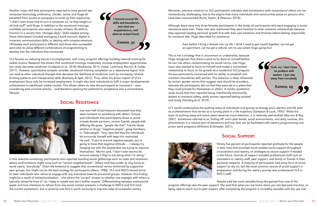Another major skill that participants reported to have gained was computer/technology proficiency. Zander, Jamie, and Paige all benefited from access to computers to build up their experience. "I didn't even know how to turn a computer on, so they taught us all that stuff" said Paige. In addition to the vocational trainings available, participants also need a variety of basic life skills to function in a society that "changes daily". Skills needed among those interviewed included managing a bank account, digital or in-person communication skills, or dealing with complex emotions. Ultimately each participant is different and those who succeeded were able to utilize different combinations of programming to develop into the individual they envisioned.

VLS focuses on reducing barriers to employment, with many program offerings building towards training for stable income. Research has shown that vocational trainings moderately increase employment opportunities, but rarely decrease recidivism (Lindquist et al., 2018; MacKenzie, 2012; Visher, Lattimore, Barrick, & Tueller, 2017). However, quantitative analysts consider vocational training completion as a 'desistance signal' that can lead to other individual changes that decrease the likelihood of recidivism, such as increasing rational thinking patterns and interpersonal skills (Bushway & Apel, 2012). Thus, while the direct impact of VLS's employment focus only be increased employment, it might also lead individuals to fulfil a major developmental achievement in adulthood: stable income. This allows others to view the participant as successful – even considering past criminal activity – and therefore opening the potential to acceptance into a conventional lifestyle.



#### Social Resistance

Just over half of participants discussed how they were resistant to socializing with others. Groups and individuals that participants chose to avoid include female partners, certain friends, people with differing life goals, "people like that", friends abuse alcohol or drugs, "negative people", gang members, or "fake people". Tony reported that the individuals he surrounds himself with keep him motivated. He said, "if you're around negative people, you're going to have that negative attitude .... I always try hanging out with the people that are trying to improve themselves". Martin said, "I don't even wanna be around nobody if they're not doing what I'm doing."

In this selective socializing, participants also reported avoiding social gatherings such as clubs and situations where confrontations might arise such as "certain neighborhoods". Others said they prefer to stay home to avoid nearly "everybody". Given the evidence to suggest that conventional norms reinforced by supportive peer groups, this might not be the best strategy for participants (Akers, 1998). VLS and NDCS should strive to steer individuals who refuse to engage with any individual towards pro-social groups. However, this finding might be a result of institutionalization – one where the 'correct' answer to whether one engages with others is typically along the lines of 'no, I keep to myself and don't bother anyone'. Differentiating between institutionalspeak and true intentions to refrain from any social contact presents a challenge to NDCS and VLS (and the current evaluators), but is certainly one that is worth pursuing to improve rates of successful reentry.



Moreover, previous research on VLS participants indicates that socialization with conventional others can be tremendously challenging, due to the stigma that many individuals and communities place on persons who have been incarcerated (Kurtz, Spohn, & Peterson, 2018).

Although there were only three females participants in the study, all participants who were engaging in social resistance were men. These men also mentioned they were hesitant to enter romantic relationships because they reported needing personal growth first with their own emotions and finances before feeling responsible for someone else. Hugo described his resistance:

*Even before I bring a female into my life, I think I need to get myself together. Let me get* 

## *an apartment. Let me get a vehicle. Let me see where Hugo going first.*

This is not a strategy that is uncommon or undesirable, because Hugo recognizes that there is work to be done on himself before he can risk others contaminating his social norms. Like Hugo, Issac also wanted to focus on himself and ended a committed relationship to focus on his growth at a residential VLS program. He was particularly concerned with his ability to establish and maintain boundaries with women. This behavior is likely influenced by certain gender norms that suggest men should be providers, whereas the participants did not feel they were yet in a place that they could provide for themselves or others. A similar qualitative study found that men reported being intentionally emotionallydistant to maintain safety, while women reported feeling isolated and lonely (Harding et al. 2019).

LCT would contextualize the pushing away of individuals and groups to change one's identity and life path as a phenomenon that serves as a turning point in a life trajectory (Sampson & Laub, 1993). While the topic of pushing away anti-social peers deserves more attention, it is relatively well-studied (Maruna & Roy, 2007). Sometimes referred to as 'knifing off' one's past bonds, social environments, and daily routines, this phenomenon is a natural part of desistance and one that can be facilitated with reentry programming and prison work programs (Williams & Schaefer, 2021).

### Social Support



Ninety five percent of participants reported gratitude for the people in their lives that provided much-needed social support throughout incarceration and reentry, or strategies to secure support if needed in the future. Sources of support included professional staff such as counselors or reentry staff, peer support, and family or friends in their personal networks. A majority of participants had some form of social support to rely on, but the most common source of social support in preparation and during the reentry journey was professional VLS or NDCS staff.

Natalie said the most valuable thing she gained from one of the

program offerings was the peer support. She said that when you are home alone you can feel past traumas, so being able to reach out to peer support after completing the program is incredibly valuable with the ups and

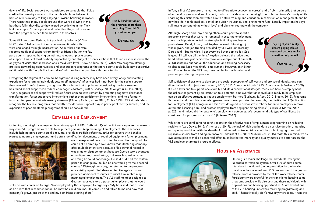downs of life. Social support was considered so valuable that Paige credited her reentry success to the people who have believed in her. Cain felt similarly to Paige saying, "I wasn't believing in myself. There wasn't too many people around that were believing in me, but these folks, they did, so they helped by believing in me. They lent me support." The support and belief that they could succeed from the program helped them believe in themselves.

Some VLS program offerings, but particularly "all-star (VLS or NDCS) staff", helped participants restore relationships that were challenged through incarceration. About three quarters reported additional support from family or friends, but only a few participants reported having an intimate relationship as a source

of support. This is at least partially supported by one study of prison visitations that found ex-spouses were the only type of visitor that increased one's recidivism level (Duwe & Clark, 2013). Other VLS program offerings provided networking opportunities and peer support programs so that participants could build new supportive relationships with "people like themselves" who can best empathize with their situation.

Navigating the stigma of a criminal background during reentry may have been a very lonely and isolating experience for returning individuals cutting off 'negative' influences had it not been for the social support they received from VLS reentry programs. This is important to point out considering previous research has found social support can reduce criminogenic factors (Pratt & Godsey, 2003; Wright & Cullen, 2001). Theory suggests social support will reduce future criminal involvement by promoting cognitive desistance transformation, foster supportive interventions rather than punishment interventions, and help formerly incarcerated people navigate reentry stressors (Chouhy, Cullen, & Lee 2020; Cullen 1994). VLS stakeholders recognize the key role programs that overtly provide social support play in participant reentry success, and the expansion of peer mentorship programs should be considered.

#### Establishing Employment

Obtaining meaningful employment is a primary goal of LB907. About 81% of participants expressed numerous ways that VLS programs were able to help them gain and keep meaningful employment. These services include helping participants build a resume, provide a credible reference, strive for careers with benefits (versus temporary employment), and obtain identification documents or required equipment for employment.



George expressed how frustrated he was after being told he could not be hired by a well-known manufacturing company after multiple interviews because of his criminal record. It was a major disappointment because George took advantage of multiple program offerings, but knew his past was the one thing he could not change. He said, "I did all this stuff in prison to change my life, but no one would give me a second chance." Distraught one day, he returned to the program office visibly upset. Staff de-escalated George's crisis and provided additional resources to assist him in obtaining meaningful employment. The VLS staff member assigned to George reportedly told a potential employer that he would

stake his own career on George. Now employed by that employer, George says, "My boss said that as soon as he heard that recommendation, he knew he could hire me. He came up and talked to me and now that company's grown just off of me and my best friend starting there."



In Tony's first VLS program, he learned to differentiate between a 'career' and a 'job' – primarily that careers offer benefits, year-round employment, and can provide a more meaningful contribution to one's quality of life. Learning this distinction motivated him to obtain training and education in construction management, and he now has life, health, medical, dental, and vision insurance, and a retirement fund. Equally important he says, "I still have a current job now that I love" and plans on retiring with the company.

Although George and Tony among others could point to specific program services that were instrumental in securing employment, some participants reported no struggles in finding employment post-release. Derek, Ethan, and Kayden believed obtaining a job was a given, and job training provided by VLS was unnecessary. Derek said, "But job wise…I got every job I ever applied for. God is good. I'll tell you all the time." Kayden believed the judge that handled his case just decided to make an example out of him with a DUI sentence but had all the education and training necessary to obtain and keep meaningful employment. However, both Ethan and Kayden found the VLS programs helpful for the housing and peer support during the process.

Self-sufficiency allows one to develop a pro-social perception of self-worth and pro-social identity, and can direct behavioral trajectories (Latessa, 2011, 2012; Sampson & Laub, 1993; Paternoster & Bushway, 2009). It also allows one to support one's family and life a conventional lifestyle. Measured here as employment, the acknowledgement by an institution to a potential employer that an individual is ready to be employed can be an effective strategy to reduce employment barriers (Bushway & Apel, 2012; Bloom, 2012). Programs that overtly address this acknowledgement have shown promise. For example, the Certificate of Qualification for Employment (CQE) program in Ohio "was designed to demonstrate rehabilitation to employers, remove automatic licensing bars, and protect employers from negligent hiring claims" (Leasure & Martin, 2017, p. 528), and indeed did increase one's employment outcomes. We recommend this type of certificate be considered for programs such as VLS (Latessa, 2012).

While there are conflicting research reports on the effectiveness of employment programming on reducing recidivism (e.g., Duwe, 2015; Visher et al., 2017), the lack of high quality data on service duration, intensity, and quality, combined with the dearth of randomized controlled trials could be prohibiting rigorous and replicable studies from finding an answer (Lindquist et al., 2018; Muhlhausen, 2015). With this in mind, we as evaluators plan to make a concerted effort to collect better intensity and quality metrics to better assess the VLS employment-related program effects.

### Housing Assistance



Housing is a major challenge for individuals leaving the Nebraska correctional system. Over 80% of participants interviewed mentioned their appreciation for the housing assistance they received from VLS programs and the gradual release process provided by the NDCS work release center. Participants were grateful for the transitional housing some programs provide while also assisting these individuals with applications and housing opportunities. Adam lived at one of the VLS housing units while receiving programming and said, "I honestly really didn't have anywhere to go. It was the

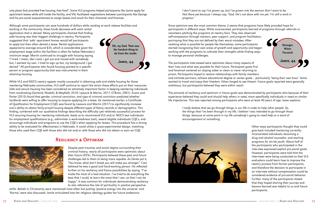only place that provided free housing, free food". Some VLS programs helped participants like Jamie apply for apartment leases while still inside the facility, and VSL facilitated negotiations between participants like George and his pro-social acquaintances to cosign leases and vouch for their character and finances.

Although some participants can save hundreds of dollars while residing at work release facilities and

working in the community, these funds decrease with each rental application that is denied. Many participants claimed that finding safe housing was their biggest challenge in reentry. Participants suggested that 'safe' apartment homes would tell participants to apply but then often denied a lease. Rental applications appeared to average around \$35, which is considerable given the employment wage within the facilities is often far below Nebraska's minimum wage. Martin continued to struggle with housing saying, "I tried. I mean, like I said, I got out and moved with somebody but, I wanted my own. I tried to sign up but, my background, I got denied." All participants who found housing pointed to a specific person or program opportunity that was instrumental in them attaining housing.

*I don't want to say I've grown up, but I've grown into the woman that I want to be. Not there yet because I always say, 'God, He's not done with me yet. I'm still a work in progress.'*

While VLS and NDCS reentry appear mostly successful in obtaining safe and stable housing for those reentering Nebraska communities, VLS staff continue to report the strain these efforts put on their resources. Safe and secure housing has been considered an extremely important factor in keeping reentering individuals from recidivating (Garland, Wodahl, & Mayfield, 2010; Leasure & Martin, 2017; O'Brien, 2001). Evans and Porter (2015) found that gender, criminal conviction, and type of criminal conviction predicted whether landlords were willing to offer housing to anyone applying for a lease. As mentioned earlier, a Certificate of Qualification for Employment (CQE) was found by Leasure and Martin (2017) to significantly increase one's ability to obtain fairly-priced housing despite different types of felony records or demographics. This finding, combined with our qualitative findings describing the difficulty (yet relatively successful) process for VLS securing housing for reentering individuals, leads us to recommend VLS and/or NDCS test individuals for employment qualifications (e.g., administer a work-readiness tool), award eligible individuals CQE's, and encourage individuals and programs to use the CQE's when applying for leases. This procedure has a strong ability to be evaluated for effectiveness in Nebraska. It could utilize a quasi-experimental design, matching those who used their CQE with those who did not and/or with those who did not obtain or earn an CQE.

#### Resiliency & Optimism



Despite past traumas and social stigma surrounding their criminal history, nearly all participants were optimistic about their future (95%). Participants believed these past and future challenges led to them to being more capable. As Derek put it, "You know, what don't break you will make you stronger." Cain believed he was a good and hard-working person. He reflected further on his resiliency and future possibilities by saying, "I've made the most of a bad situation. I've tried to do everything the best that I could, to learn the most that I can, so that I can be happy". It was common for individuals demonstrating resiliency to also reference the role of spirituality in positive perspective

shifts. Beliefs in Christianity were mentioned most often but putting 'positive energy into the universe' and 'Karma' were also discussed. Jamie articulated how her religious ideology guides her future endeavors:

Oh, my God. That was the hardest thing to do from the inside. Jamie, 44

The participants interviewed were optimistic about many aspects of their lives and what was possible for their future. Participant goals first and foremost centered on staying sober or clean or never returning to prison. Participants hoped to restore relationships with family members and intimate partners, achieve educational degree or career goals – particularly 'being their own boss'. Some wanted to travel and enjoy their freedom. Ethan longed to see Hawaii. Future goals reported were generally ambitious, but participants believed they were within reach.

Since optimism was the most common theme, it seems that programs have likely provided hope for participants in different ways. While incarcerated, participants learned of programs through referrals or volunteers pitching the programs at reentry fairs. They also observed self-compassion through mentors, peer support, and program facilitators, portraying that they are not defined by their worst mistakes. After realizing what is possible for people like themselves, some participants started recognizing their own areas of growth and opportunity and began working with the programs to cultivate their strengths while finding ways to manage personal challenges. Stronger. Wiser. Focused.

The pinnacle of resiliency and optimism in future goals was demonstrated by participants who because of their experience believed they could and should help others in need, more specifically individuals in need on similar life trajectories. This was reported among participants who were at least 40 years of age. Isaac explains:

> *I really believe that we go through things in our life in order to help other people. So, the things that I've been through in my life, I believe I was intended to go through those things, because at some point in my life somebody's going to need help or a word of encouragement or something.*



Other ways participants thought they could give back included mentoring currentlyincarcerated individuals, becoming a drug and alcohol counselor, and starting programs for at-risk youth. About half of the participants who participated in the interview expressed explicit pro-social goals. However, participants were told that the interviews were being conducted so that VLS evaluators could learn how to improve the reentry process from former participants, and therefore the decision to participate in an interview without compensation could be considered evidence of pro-social behavior. Further, many of the participants stated that they hoped sharing their journey and lessons learned was helpful to us and future participants.

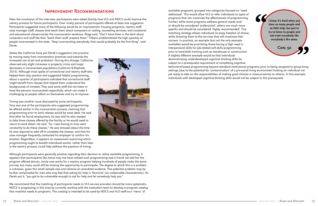

#### Improvement Recommendations

Near the conclusion of the interview, participants were asked directly how VLS and NDCS could improve the reentry process for future participants. Over ninety percent of participants offered at least one suggestion. Participants suggested more of the following would be an improvement: housing programs, reentry staff, case manager staff, classes that teach them about computers or coding, counseling services, and vocational and educational classes earlier the incarceration sentence. Paige said, "Don't have them in the dark about computers and stuff like that. Teach them stuff, prepare them." Others problematized the high quantity of people incarcerated in the state. "Stop incarcerating everybody, that would probably be the first thing", said Derek.

States like California have put Derek's suggestion into practice by moving away from incarceration practices and towards the increased use of jail and probation. During this change, California observed only slight increases in property crime and major decreases in incarcerated populations (Lofstrom & Raphael, 2015). Although most spoke of correctional and reentry staff who helped them stay positive and suggested helpful programming, about a quarter of participants indicated that correctional staff might benefit from classes that helped them understand the backgrounds of inmates. They said some staff did not listen or treat the persons incarcerated respectfully, which can make it challenging as people reflect on themselves and try to improve.

Timing was another issue discussed by some participants. Tony was one of the participants who suggested programming be offered earlier in the incarceration process, claiming that programming prior to work release would be most ideal. He said that after he found employment, he was told he also needed to take three classes offered by the facility or he would need to return to work detail. He said, "So, I was having to miss work constantly to do these classes." He was stressed about the time he was required to take off to complete the classes, and that his case manager frequently contacted his employer to confirm his location. Regardless, it appears an assessment examining which programming ought to benefit individuals earlier, rather than later in the reentry process, could help address the question of timing.



Although participants were generally positive regarding their decision to utilize available programming, it appears that participants like Jamie may not have utilized such programming had a friend not told her the program offered donuts. Jamie now works for a reentry program helping hundreds of people make the same journey, but many could still be missing the opportunity to participate. The degree to which this is a problem is unknown, given this small sample size and reliance on anecdotal evidence. This potential problem may be further complicated for men who may feel that asking for help is 'feminine' (an undesirable characteristic). As Derek put it, "you got to be vulnerable enough to ask for help and let somebody help you."

We recommend that the matching of participants needs to VLS service providers should be more systematic. NDCS is progressing in this area by currently working with the evaluation team to develop a program catalog that matches needs to programs. This catalog is intended to be used by NDCS and VLS staff as a 'menu' of

available programs, grouped into categories focused on 'need addressed'. This would allow VLS to refer individuals to types of programs that can maximize the effectiveness of programming. Further, while some programs address general needs and/ or should be considered 'preferential', others are much more specific and should be considered 'highly recommended'. This matching strategy allows individuals to enjoy freedom of choice, while directing them to the services that will maximize their success. In practice, an example (but not the only example available) would be prioritizing those having a high need in interpersonal skills for job-related soft-skills programming prior to hard-skills training such as warehouse or construction. A slightly different example would be that individuals demonstrating underdeveloped cognitive thinking skills be subject to a prerequisite requirement of completing cognitive behavioral-based programming beyond standard institutional programs prior to being assigned to group-living settings (due to the potential for 'contamination' of a pro-social living environment hosting an individual not yet ready to take on the responsibilities of making good choices in close-proximity to others). In this example, individuals with developed cognitive thinking skills would not be subject to this prerequisite. I know it's hard when you have so many people and so little help, but just to try to listen to people and not treat everybody like everybody's the same. Cain, 52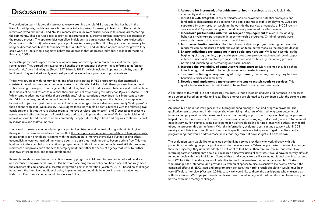The evaluation team initiated this project to closely examine the role VLS programming has had in the lives of participants, and determine what remains to be improved for reentry in Nebraska. These detailed interviews revealed that VLS and NCDS's reentry division delivers crucial services to individuals reentering the community. These services seek to provide opportunities to overcome barriers commonly experienced in the reentry process. The opportunities can allow individuals to pursue conventional behavioral trajectories (Sampson & Laub, 1993). Interviewed participants worked closely with staff at key points in their reentry to imagine different possibilities for themselves (i.e., a future-self), and identified opportunities for growth they could work on – following a cognitive-behavioral approach that addresses individual needs (Paternoster & Bushway, 2009).

Successful participants appeared to develop new ways of thinking and remained resilient on their prosocial course. They earned the rewards and benefits of conventional behavior – also referred to as 'stakes in conformity' by criminologists (Toby, 1957; Hirschi, 1969) – which included happiness, stability, and selffulfillment. They rekindled family relationships and developed new pro-social support systems.

Those who struggled with reentry during and after participating in VLS programming demonstrated a consistent denial that they had criminogenic needs or a dearth of skills to help them gain employment and stable housing. These participants generally had a long history of fraud or violent behavior and used multiple 'techniques of neutralization' to minimize their criminal behavior during the interviews (Sykes & Matza, 1957). While some readers may consider these participants' reincarcerations unavoidable, it is important to note that VLS is voluntary, can do a better in matching needs to programming, and the choice to change one's behavioral trajectory is just that – a choice. This is not to suggest these individuals are simply 'bad apples' or their actions represent 'evil in society'. We suggest these individuals be contextualized with the following two considerations: 1) that there is always room to improve services (and oneself), and 2) successes represent a very concerted effort on the part of participants and staff to improve the quality of life for the individual, the individual's family and friends, and the community. Simply put, reentry is hard and requires continuous efforts by individuals and staff to improve.

2. Initiate a CQE program. These certificates can be provided to potential employers and landlords to demonstrate the dedication the applicant has to stable employment. CQE's are supported by prior research, would not be outside the purview or capacity of NDCS reentry

4. **Improve evaluation metrics**. The intensity and individual program offering performance measures can be measured to help the evaluation team better measure the program dosage. 5. Ensure individuals are engaging in pro-social peer groups. While not essential at the beginning of programming, a pro-social peer group can provide much needed social support in times of need and maintain pro-social behaviors and attitudes by reinforcing pro-social

- DISCUSSION **EXECUSSION** community and in facilities.
	- services and VLS programming, and could be easily evaluated for effectiveness.
	- 3. Incentivize participants with five- or ten-year expungement to reward law abiding seen as detrimental to success by most participants.
	-
	- norms and 'punishing' or ostracizing anti-social norms.
	- in technology and needed to be caught-up to be successful in reentry.
	- beneficial earlier and some later.
	- goal is in the works and is anticipated to be realized in the current grant cycle.

The overall take-away when analyzing participants' life histories and contextualizing with criminological theory and other evaluation observations is that the mere participation in and completion of tasks previously unimaginable can provide participants with the motivation to improve themselves. Further, seeing others accomplish milestones inspired many participants to push that much harder to become crime-free. This may lend merit to the completion of vocational programming, in that it may not be the learned skill that reduces recidivism or improves one's chances for employment, but rather the sense of agency that leads to further cognitive, interpersonal, and moral development.

Research has shown employment vocational reentry programs in Minnesota resulted in reduced recidivism and increased employment (Duwe, 2015); however, one program or policy solution alone will not likely meet the considerable challenges of successful integration post incarceration (Western, 2018). Based on challenges noted from the interviews, additional policy implementations could aid in improving reentry outcomes in Nebraska. Our primary recommendations are as follows:

behavior or voluntary participation in peer mentorship programs. Criminal records were

6. Increase the availability of computer training courses. Many claimed they felt behind

7. Examine the timing or sequencing of programming. Some programming may be more

8. Develop and implement a more systematic way to match needs to services. This

A limitation to this work, but not necessarily the data, is that it lacks an analysis of differences in processes and outcomes based on gender and race. These analyses are planned to be conducted with the current data in the future.

An incredible amount of work goes into VLS programming among NDCS and program providers. The qualitative results presented in this report show promising indicators of desired long-term outcomes of increased employment and decreased recidivism. The majority of participants reported feeling the program helped them be more successful in reentry. These results are encouraging, and should guide VLS to potential gaps in service. For example, some participants felt vulnerable asking for assistance while others only heard about the program through referrals. With this information, evaluators can continue to work with NDCS reentry specialists to ensure all participants with specific needs are being encouraged to utilize specific programming that would address those needs that they may not have sought out on their own.

The evaluation team would like to conclude by thanking service providers who work directly with this population, and who gave participant referrals to the interviewers. When people make a decision to change their life trajectory, they understandably do not want to look back. Therefore, we realize that without you informing former participants about our research objectives using client trust, it would have been very difficult to get in touch with these individuals. Some of these individuals were still serving additional time incarcerated in NDCS facilities. Therefore, we would also like to thank the wardens, unit managers, and NDCS staff who arranged the interviews and provided us with quiet spaces to discuss sensitive life events. Without the combined efforts of NDCS staff and program provider staff, this hard-to-reach population would have been very difficult to interview (Western, 2018). Lastly, we would like to thank the participants who entrusted us with their stories. We hope your words and lessons are shared widely, and that our state can learn from you how to overcome reentry challenges.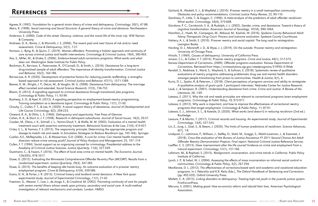- Agnew, R. (1992). Foundation for a general strain theory of crime and delinquency. *Criminology*, 30(1), 47-88. Akers, R. (1998). *Social Learning and Social Structure: A general theory of crime and deviance*. Northeastern University Press.
- Anderson, E. (2000). *Code of the street: Decency, violence, and the moral life of the inner city*. WW Norton & Company.
- Andrews, D. A., Bonta, J., & Wormith, J. S. (2006). The recent past and near future of risk and/or need assessment. *Crime & Delinquency*, 52(1), 7-27.
- Annison, J., Byng, R., & Quinn, C. (2019). Women offenders: Promoting a holistic approach and continuity of care across criminal justice and health interventions. *Criminology & Criminal Justice*, 19(4), 385-403.
- Aos, S., Miller, M., & Drake, E. (2006). *Evidence-based adult corrections programs: What works and what does not*. Washington State Institute for Public Policy.
- Bachman, R., Kerrison, E., Paternoster, R., O'Connell, D., & Smith, L. (2016). Desistance for a long-term drug-involved sample of adult offenders: The importance of identity transformation. *Criminal Justice and Behavior*, 43(2), 164-186.
- Barnes-Lee, A. R. (2020). Development of protective factors for reducing juvenile reoffending: a strengthsbased approach to risk assessment. *Criminal Justice and Behavior*, 47(11), 1371-1389.
- Beaver, K. M., Wright, J. P., DeLisi, M., & Vaughn, M. G. (2008). Desistance from delinquency: The marriage effect revisited and extended. *Social Science Research*, 37(3), 736-752.
- Bloom, D. (2012). A signalling approach to criminal desistance through transitional jobs programs. *Criminology & Public Policy*, 11, 93-99.
- Bushway, S. D., & Apel, R. (2012). A signaling perspective on employment-based reentry programming: Training completion as a desistance signal. *Criminology & Public Policy*, 11(1), 21-50.
- Chouhy, C., Cullen, F. T., & Lee, H. (2020). A social support theory of desistance. *Journal of Developmental and Life-Course Criminology*, 6(2), 204-223.
- Cloward, R. A., & Ohlin, L. E. (1960). *Delinquency and opportunity*. Free Press of Glencoe.
- Cohen, A. K., & Short Jr, J. F. (1958). Research in delinquent subcultures. *Journal of Social Issues*, 14(3), 20-37.
- Cosden, M., Ellens, J. K., Schnell, J. L., Yamini-Diouf, Y., & Wolfe, M. M. (2003). Evaluation of a mental health treatment court with assertive community treatment. *Behavioral Sciences & the Law*, 21(4), 415-427.
- Crites, E. L., & Taxman, F. S. (2013). The responsivity principle: Determining the appropriate program and dosage to match risk and needs. In *Simulation Strategies to Reduce Recidivism* (pp. 143-166). Springer.
- Cuellar, A.E., McReynolds, L.S., & Wasserman, G.A. (2006). A cure for crime: Can mental health treatment diversion reduce crime among youth? *Journal of Policy Analysis and Management*, 25, 197–214
- Cullen, F. T. (1994). Social support as an organizing concept for criminology: Presidential address to the Academy of Criminal Justice Sciences. *Justice Quarterly*, 11(4), 527-559.
- Dustmann, C., & Fasani, F. (2016). The effect of local area crime on mental health. *The Economic Journal*, 126(593), 978-1017.
- Duwe, G. (2012). Evaluating the Minnesota Comprehensive Offender Re-entry Plan (MCORP): Results from a randomized experiment. *Justice Quarterly*, 29(3), 347-383.
- Duwe, G. (2015). The benefits of keeping idle hands busy: An outcome evaluation of a prisoner reentry employment program. *Crime & Delinquency*, 61(4), 559-586.
- Evans, D. N., & Porter, J. R. (2015). Criminal history and landlord rental decisions: A New York quasiexperimental study. *Journal of Experimental Criminology*, 11(1), 21-42.
- Freeman, G., Weaver, T., Low, J., de Jonge, E., & Crawford, M. (2002). *Promoting continuity of care for people with severe mental illness whose needs span primary, secondary and social care: A multi-method investigation of relevant mechanisms and contexts*. London: HMSO.
- Garland, B., Wodahl, E. J., & Mayfield, J. (2010). Prisoner reentry in a small metropolitan community:<br>Chicagles and policy recommendations. Criminal Justice Policy Poview, 22, 90,110 Obstacles and policy recommendations. *Criminal Justice Policy Review*, 22, 90-110.
	- What works!. *Criminology*, 34(4), 575-608.
	- cognitive transformation. *American Journal of Sociology*, 107(4), 990-1064.
	-
	- Hattery, A. J., & Smith, E. (2010). Prisoner reentry and social capital: The long road to reintegration. Lexington Books.
	- Harding, D. J., Morenoff, J. D., & Wyse, J. J. (2019). On the outside: *Prisoner reentry and reintegration*. University of Chicago Press.
	- Hirschi, T. (1969). *Causes of delinquency*. University of California Press.
	- Jonson, C.L., & Cullen, F. T. (2015). Prisoner reentry programs. *Crime and Justice*, 44(1), 517-575.
	-
	- amongst people transitioning from prison to communities. *Health & Justice*, 6(1), 4.
	-
	- *Literature*, 28, 1-69.
	- programs). *Criminology & Public Policy*, 10, 973-977.
	- programs that target employment. *Criminology & Public Policy*, 11, 87-91.
	- Routledge.
	- *Criminology*, 13(4), 527-535.
	- 6(7), 1-8.
	-
	- natural experiment. *Criminology*, 51(1), 137-166.
	- Institute of California.
	- communities. *Criminology & Public Policy*, 3(2), 267-294.
	- (pp. 492-520). Oxford University Press.
	- FirstForumPress.
	- Association.

Gendreau, P., Little, T., & Goggin, C. (1996). A meta-analysis of the predictors of adult offender recidivism:

Giordano, P. C., Cernkovich, S. A., & Rudolph, J. L. (2002). Gender, crime, and desistance: Toward a theory of

Hamilton, Z., Hsieh, M., Campagna, M., Abboud, M., Koslicki, W. (2016). *Spokane County Behavioral Adult Felony Therapeutic Drug Court: Process and outcome evaluation.* Spokane County Courthouse.

Kansas Department of Corrections. (2009). *Offender programs evaluation*. Kansas Department of Corrections. Retrieved from <https://crimesolutions.ojp.gov/ratedprograms/519?ID=519#eb> Kendall, S., Redshaw, S., Ward, S., Wayland, S., & Sullivan, E. (2018). Systematic review of qualitative evaluations of reentry programs addressing problematic drug use and mental health disorders

Kurtz, D. L., Spohn, R, & Peterson, J. (2018). *Client perceptions of program services and ability to reintegrate: A qualitative analysis of grant cycle 1 participant interviews*. Nebraska Center for Justice Research. Laub, J., & Sampson, R. (2001). Understanding desistance from crime. *Crime and Justice: A Review of the* 

Latessa, E. (2011). Why the risk and needs principles are relevant to correctional programs (even employment

Latessa, E. (2012). Why work is important, and how to improve the effectiveness of correctional reentry

Latessa, E. J., Johnson, S. L., & Koetzle, D. (2020). *What works (and doesn't) in reducing recidivism* (2nd ed.).

Leasure, P. & Martin, T. (2017). Criminal records and housing: An experimental study. *Journal of Experimental* 

Lin, Z., Jung, J., Goel, S., & Skeem, J. (2020). The limits of human predictions of recidivism. *Science Advances*,

Lindquist, C., Lattimore, P., Willison, J., Steffey, D., Stahl, M., Scaggs, S., Welsh-Loveman, J., & Eisenstat, J. (2018). *Cross-Site evaluation of the Bureau of Justice Assistance FY 2011 Second Chance Act Adult Offender Reentry Demonstration Projects: Final report*. National Criminal Justice Reference Service. Loeffler, C. E. (2013). Does imprisonment alter the life course? Evidence on crime and employment from a

Lofstrom, M., & Raphael, S. (2015). *Realignment, incarceration, and crime trends in California*. Public Policy

Lynch, J. P., & Sabol, W. J. (2004). Assessing the effects of mass incarceration on informal social control in

MacKenzie, D. L. (2012). The effectiveness of corrections-based work and academic and vocational education programs. In J. Petersilia and K.R. Reitz (Eds.), *The Oxford Handbook of Sentencing and Corrections*

Mallett, C. A. (2013). *Linking disorders to delinquency: Treating high-risk youth in the juvenile justice system*.

Maruna, S. (2001). *Making good: How ex-convicts reform and rebuild their lives*. American Psychological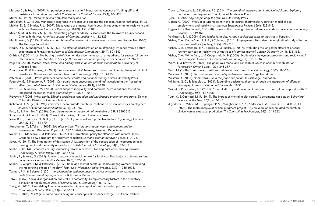Maruna, S., & Roy, K. (2007). Amputation or reconstruction? Notes on the concept of "knifing off" and desistance from crime. *Journal of Contemporary Criminal Justice*, 23(1), 104-124.

Matza, D. (1967). *Delinquency and drift*. John Wiley and Son.

- McCollum, S. G. (1990). Mandatory programs in prisons: Let's expand the concept. *Federal Probation*, 54, 33.
- McNiel, D. E., & Binder, R. L. (2007). Effectiveness of a mental health court in reducing criminal recidivism and violence. *American Journal of Psychiatry*, 164(9), 1395-1403.
- Miller, M.M., & Miller, V.M. (2016). Validating program fidelity: Lessons from the Delaware County Second Chance Initiatives. *American Journal of Criminal Justice*, 41, 112-123.
- Muhlhausen, D. (2015). *Studies cast doubt on effectiveness of prisoner reentry programs* (Report No. 3010). The Heritage Foundation.
- Nagin, D. S., & Snodgrass, G. M. (2013). The effect of incarceration on re-offending: Evidence from a natural experiment in Pennsylvania. *Journal of Quantitative Criminology*, 29(4), 601-642.
- O'Brien, P. (2001). "Just like baking a cake": Women describe the necessary ingredients for successful reentry after incarceration. *Families in Society: The Journal of Contemporary Social Services*, 82, 287-295.
- Pager, D. (2008). *Marked: Race, crime, and finding work in an era of mass incarceration*. University of Chicago Press.
- Paternoster, R., & Bushway, S. (2009). Desistance and the" feared self": Toward an identity theory of criminal desistance. *The Journal of Criminal Law and Criminology*, 99(4),1103-1156.
- Petersilia, J. (2003). *When prisoners come home: Parole and prisoner reentry*. Oxford University Press.
- Pogarsky, G., & Piquero, A. R. (2003). Can punishment encourage offending? Investigating the "resetting" effect. *Journal of Research in Crime and Delinquency*, 40(1), 95-120.
- Pratt, T. C., & Godsey, T. W. (2003). Social support, inequality, and homicide: A cross-national test of an integrated theoretical model. *Criminology*, 41(3), 611-644.
- Przybylski R (2008) *What works: Effective recidivism reduction and risk-focused prevention programs*. Denver, Colorado: Division of Criminal Justice.
- Richmond, K. M. (2014). Why work while incarcerated? Inmate perceptions on prison industries employment. *Journal of Offender Rehabilitation*, 53(4), 231-252.
- Rose, E., & Shem-Tov, Y. (2018). *Does incarceration increase crime?*. Available at SSRN 3205613.
- Sampson, R., & Laub, J. (1993). *Crime in the making*. Harvard University Press.
- Serin, R. C., Chadwick, N., & Lloyd, C. D. (2016). Dynamic risk and protective factors. *Psychology, Crime & Law*, 22(1-2), 151-170.
- Skardhamar, T., & Telle, K. (2009). *Life after prison: The relationship between employment and reincarceration*. Discussion Papers No. 597. Statistics Norway, Research Department.
- Skeem, J. L., Manchak, S., & Peterson, J. K. (2011). Correctional policy for offenders with mental illness: Creating a new paradigm for recidivism reduction. *Law and Human Behavior*, 35(2), 110-126.
- Soyer, M. (2014). The imagination of desistance: A juxtaposition of the construction of incarceration as a turning point and the reality of recidivism. *British Journal of Criminology*, 54(1), 91-108.
- Spohn, C. (2014). Twentieth-century sentencing reform movement: Looking backward, moving forward. *Criminology & Public Policy*, 13(4), 535-545.
- Spohn, R., & Kurtz, D. (2011). Family structure as a social context for family conflict: Unjust strain and serious delinquency. *Criminal Justice Review*, 36(3), 332-356.
- Spohn, R., Wright, E.M. & Peterson, J. (2017). Rape and mental health outcomes among women: Examining the moderating effects of "healthy" fear levels. *Violence Against Women*, 23(9), 1055-1075.
- Taxman, F. S., & Belenko, S. (2011). *Implementing evidence-based practices in community corrections and addiction treatment*. Springer Science & Business Media.
- Toby, J. (1957). Social disorganization and stake in conformity: Complementary factors in the predatory behavior of hoodlums. *Journal of Criminal Law & Criminology*, 48, 12-17.
- Tonry, M. (2014). Remodeling American sentencing: A ten-step blueprint for moving past mass incarceration. *Criminology & Public Policy*, 13(4), 503-533.
- Travis, J. (2005). *But they all come back: Facing the challenges of prisoner reentry*. The Urban Institute.

Travis, J., Western, B., & Redburn, F. S. (2014). *The growth of incarceration in the United States: Exploring* 

Uggen, C., & Kruttschnitt, C. (1998). Crime in the breaking: Gender differences in desistance. *Law and Society* 

Visher, C. A., Debus-Sherrill, S. A., & Yahner, J. (2011). Employment after prison: A longitudinal study of former

Visher, C. A., Lattimore, P. K., Barrick, K., & Tueller, S. (2017). Evaluating the long-term effects of prisoner reentry services on recidivism: What types of services matter?. *Justice Quarterly*, 34(1), 136-165. Visher, C. A., Winterfield, L., & Coggeshall, M. B. (2005). Ex-offender employment programs and recidivism: A

- *causes and consequences*. The National Academies Press.
	- Tyler, T. (1990). *Why people obey the law*. Yale University Press.
	- Uggen, C. (2000). Work as a turning point in the life course of criminals: A duration model of age, employment, and recidivism. *American Sociological Review*, 65(4), 529-546.
	- *Review*, 32, 339-366.
	- Venkatesh, S. A. (2008). *Gang leader for a day: A rogue sociologist takes to the streets*. Penguin.
	- prisoners. *Justice Quarterly*, 28(5), 698-718.
	-
	- meta-analysis. *Journal of Experimental Criminology*, 1(3), 295-316.
	- Ward, T., & Brown, M. (2004). The good lives model and conceptual issues in offender rehabilitation. *Psychology, Crime & Law*, 10(3), 243-257.
	- Warr, M. (1998). Life-course transitions and desistance from crime. *Criminology*, 36(2), 183-216.
	- Western, B. (2006). *Punishment and inequality in America*. Russell Sage Foundation.
	- Western, B. (2018). *Homeward: Life in the year after prison*. Russell Sage Foundation.
	- strategies. *Journal of Crime and Justice*, 44, 16-32.
	- *Criminology*, 39(3), 677-706.
	- *Sciences & the Law*, 37(4), 452-467.
	- clinical versus statistical prediction. *The Counseling Psychologist*, 34(3), 341-382.

Williams, G. C., & Schaefer, L. (2021). Expanding desistance theories through the integration of offender

Wright, J. P., & Cullen, F. T. (2001). Parental efficacy and delinquent behavior: Do control and support matter?.

Yuan, Y., & Capriotti, M. R. (2019). The impact of mental health court: A Sacramento case study. *Behavioral* 

Ægisdóttir, S., White, M. J., Spengler, P. M., Maugherman, A. S., Anderson, L. A., Cook, R. S., ... & Rush, J. D. (2006). The meta-analysis of clinical judgment project: Fifty-six years of accumulated research on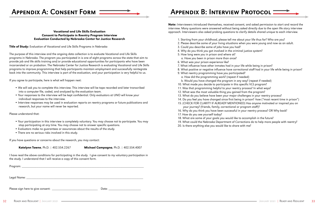- 
- 

## APPENDIX A: CONSENT FORM

#### Vocational and Life Skills Evaluation Consent to Participate in Reentry Program Interview Evaluation Conducted by Nebraska Center for Justice Research

**Title of Study:** Evaluation of Vocational and Life Skills Programs in Nebraska

The purpose of this interview and the ongoing data collection is to evaluate Vocational and Life Skills programs in Nebraska. The program you participated in is one of eight programs across the state that aim to provide job and life skills training and/or provide educational opportunities for participants who have been incarcerated or on probation. The Nebraska Center for Justice Research is evaluating Vocational and Life Skills programs to improve programming that help participants maintain employment and successfully reintegrate back into the community. This interview is part of the evaluation, and your participation is very helpful to us.

If you agree to participate, here is what will happen next:

- We will ask you to complete this interview. This interview will be tape recorded and later transcribed into a computer file, coded, and analyzed by the evaluation team.
- Your responses to the interview will be kept confidential. Only evaluators at UNO will know your individual responses to the interview.
- Interview responses may be used in evaluation reports on reentry programs or future publications and research, but your name will never be reported.

Note: Interviewers introduced themselves, received consent, and asked permission to start and record the interview. Many questions were answered without being asked directly due to the open life story interview approach. Interviewers also asked probing questions to clarify details shared unique to each interview.

Please understand that:

- Your participation in this interview is completely voluntary. You may choose not to participate. You may stop participating at any time. You may choose not to answer specific questions.
- Evaluators make no guarantees or assurances about the results of the study.
- There are no serious risks involved in this study.

If you have questions or concerns about the research, you may contact:

Katelynn Towne, Ph.D. | 402.554.2267 Michael Campagna, Ph.D. | 402.554.4007

I have read the above conditions for participating in the study. I give consent to my voluntary participation in the study. I understand that I will receive a copy of this consent form.

Program: Legal Name:

Please sign here to give consent: \_\_\_\_\_\_\_\_\_\_\_\_\_\_\_\_\_\_\_\_\_\_\_\_\_\_\_ Date: \_\_\_\_\_\_\_\_\_\_\_\_\_\_\_\_\_\_\_

## APPENDIX B: INTERVIEW PROTOCOL

- 1. Starting from your childhood, please tell me about your life thus far? Who are you?
- 2. Please describe some of your living situations when you were young and now as an adult.
- 3. Could you describe some of jobs have you had?
- 4. Why do you think you got involved in the criminal justice system?
- 5. How long were you in prison and where at? a. Have you been in prison more than once?
- 6. What was your prison experience like?
- 7. What influence have other inmates had in your life while being in prison?
- 8. What positive or negative influence have correctional staff had in your life while being in prison? 9. What reentry programming have you participated?
- a. How did the programming work? (repeat if needed) b. Would you have changed the program in any way? (repeat if needed)
- 10. What made you decide to participate in this specific VLS program?
- 11. Was that programming helpful to your reentry process? In what ways?
- 12. What was the most valuable thing you gained from the program?
- 13. What do you believe have been your major challenges in your reentry process?
- 14. Do you feel you have changed since first being in prison? -how ("most recent time in prison")
- 15. (CHECK FOR CLARITY IF ALREADY MENTIONED) Has anyone motivated or inspired you on
- your journey? (friends, family, correctional or program staff)?
- 16. Why do you think you have been successful in your reentry process? OR Why back?
- 17. How do you see yourself today?
- 18. What are some of your goals you would like to accomplish in the future?
- 
- 19. What could the Nebraska Department of Corrections do to help more people with reentry? 20. Is there anything else you would like to share with me?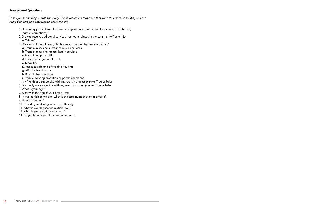#### Background Questions

*Thank you for helping us with the study. This is valuable information that will help Nebraskans. We just have some demographic background questions left.*

- 1. How many years of your life have you spent under correctional supervision (probation, parole, corrections)?
- 2. Did you receive additional services from other places in the community? Yes or No a. Where?
- 3. Were any of the following challenges in your reentry process (circle)?
	- a. Trouble accessing substance misuse services
	- b. Trouble accessing mental health services
	- c. Lack of computer skills
	- d. Lack of other job or life skills
	- e. Disability
	- f. Access to safe and affordable housing
	- g. Affordable childcare
	- h. Reliable transportation
	- i. Trouble meeting probation or parole conditions
- 4. My friends are supportive with my reentry process (circle). True or False
- 5. My family are supportive with my reentry process (circle). True or False
- 6. What is your age?
- 7. What was the age of your first arrest?
- 8. Including this conviction, what is the total number of prior arrests?
- 9. What is your sex?
- 10. How do you identify with race/ethnicity?
- 11. What is your highest education level?
- 12. What is your relationship status?
- 13. Do you have any children or dependents?